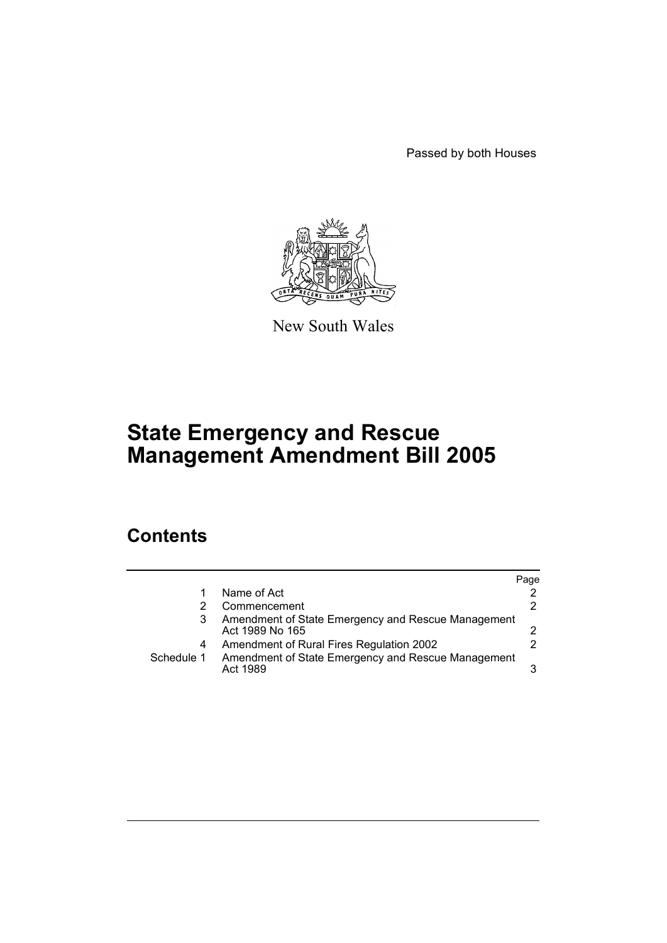Passed by both Houses



New South Wales

# **State Emergency and Rescue Management Amendment Bill 2005**

### **Contents**

|            |                                                                       | Page |
|------------|-----------------------------------------------------------------------|------|
|            | Name of Act                                                           | 2    |
|            | Commencement                                                          | 2    |
|            | Amendment of State Emergency and Rescue Management<br>Act 1989 No 165 |      |
| 4          | Amendment of Rural Fires Regulation 2002                              |      |
| Schedule 1 | Amendment of State Emergency and Rescue Management<br>Act 1989        | 3    |
|            |                                                                       |      |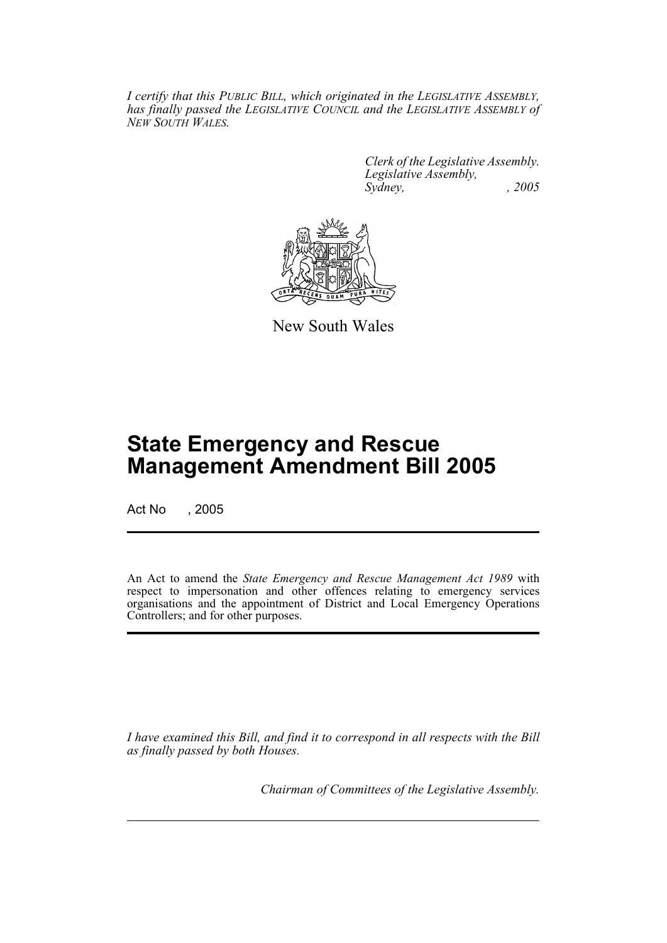*I certify that this PUBLIC BILL, which originated in the LEGISLATIVE ASSEMBLY, has finally passed the LEGISLATIVE COUNCIL and the LEGISLATIVE ASSEMBLY of NEW SOUTH WALES.*

> *Clerk of the Legislative Assembly. Legislative Assembly, Sydney, , 2005*



New South Wales

## **State Emergency and Rescue Management Amendment Bill 2005**

Act No , 2005

An Act to amend the *State Emergency and Rescue Management Act 1989* with respect to impersonation and other offences relating to emergency services organisations and the appointment of District and Local Emergency Operations Controllers; and for other purposes.

*I have examined this Bill, and find it to correspond in all respects with the Bill as finally passed by both Houses.*

*Chairman of Committees of the Legislative Assembly.*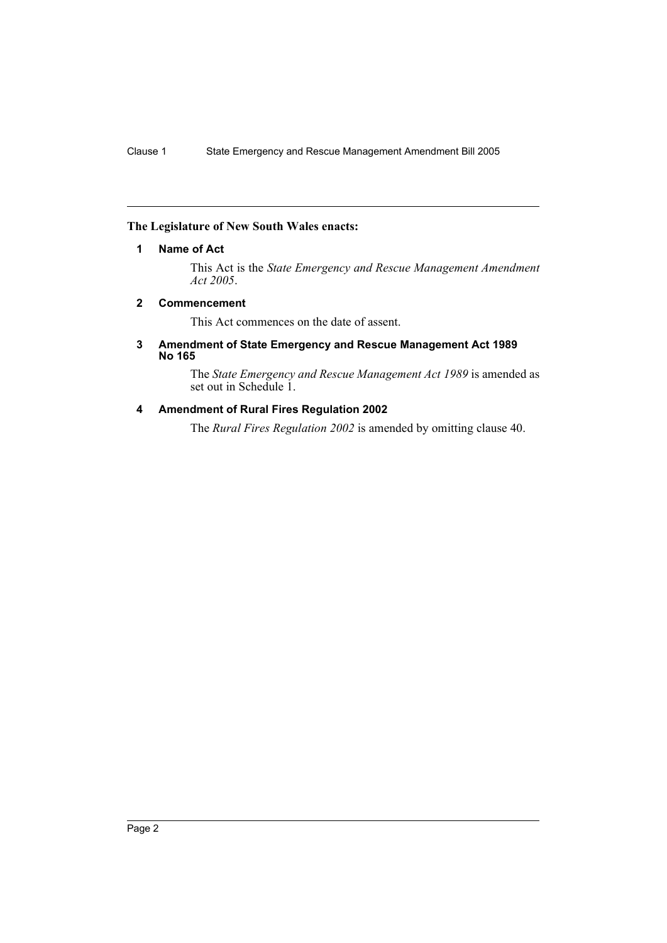#### **The Legislature of New South Wales enacts:**

#### **1 Name of Act**

This Act is the *State Emergency and Rescue Management Amendment Act 2005*.

#### **2 Commencement**

This Act commences on the date of assent.

#### **3 Amendment of State Emergency and Rescue Management Act 1989 No 165**

The *State Emergency and Rescue Management Act 1989* is amended as set out in Schedule 1.

#### **4 Amendment of Rural Fires Regulation 2002**

The *Rural Fires Regulation 2002* is amended by omitting clause 40.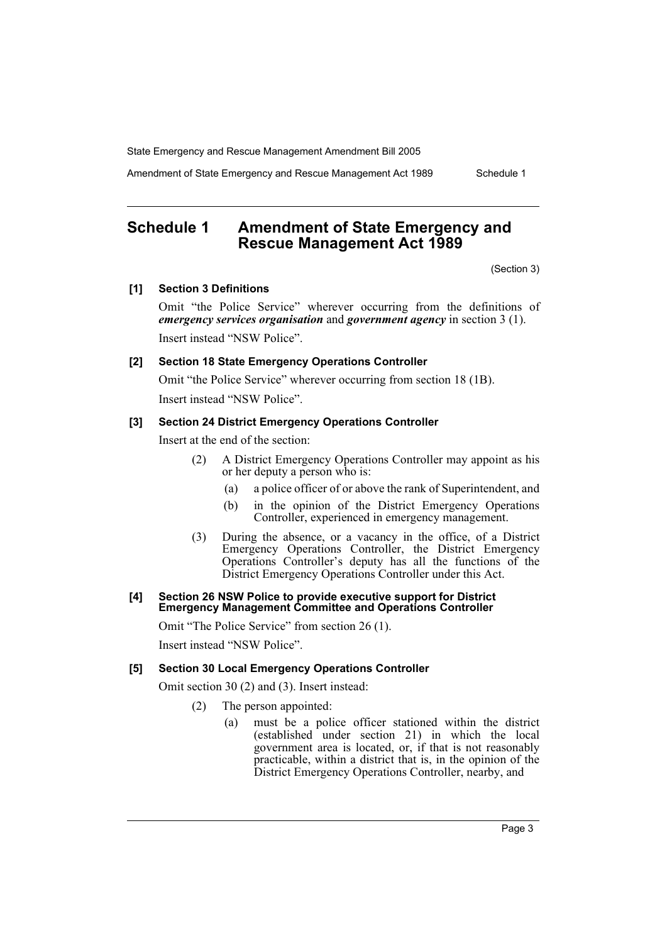State Emergency and Rescue Management Amendment Bill 2005

Amendment of State Emergency and Rescue Management Act 1989 Schedule 1

### **Schedule 1 Amendment of State Emergency and Rescue Management Act 1989**

(Section 3)

#### **[1] Section 3 Definitions**

Omit "the Police Service" wherever occurring from the definitions of *emergency services organisation* and *government agency* in section 3 (1). Insert instead "NSW Police".

#### **[2] Section 18 State Emergency Operations Controller**

Omit "the Police Service" wherever occurring from section 18 (1B). Insert instead "NSW Police".

#### **[3] Section 24 District Emergency Operations Controller**

Insert at the end of the section:

- (2) A District Emergency Operations Controller may appoint as his or her deputy a person who is:
	- (a) a police officer of or above the rank of Superintendent, and
	- (b) in the opinion of the District Emergency Operations Controller, experienced in emergency management.
- (3) During the absence, or a vacancy in the office, of a District Emergency Operations Controller, the District Emergency Operations Controller's deputy has all the functions of the District Emergency Operations Controller under this Act.

#### **[4] Section 26 NSW Police to provide executive support for District Emergency Management Committee and Operations Controller**

Omit "The Police Service" from section 26 (1).

Insert instead "NSW Police".

#### **[5] Section 30 Local Emergency Operations Controller**

Omit section 30 (2) and (3). Insert instead:

- (2) The person appointed:
	- (a) must be a police officer stationed within the district (established under section 21) in which the local government area is located, or, if that is not reasonably practicable, within a district that is, in the opinion of the District Emergency Operations Controller, nearby, and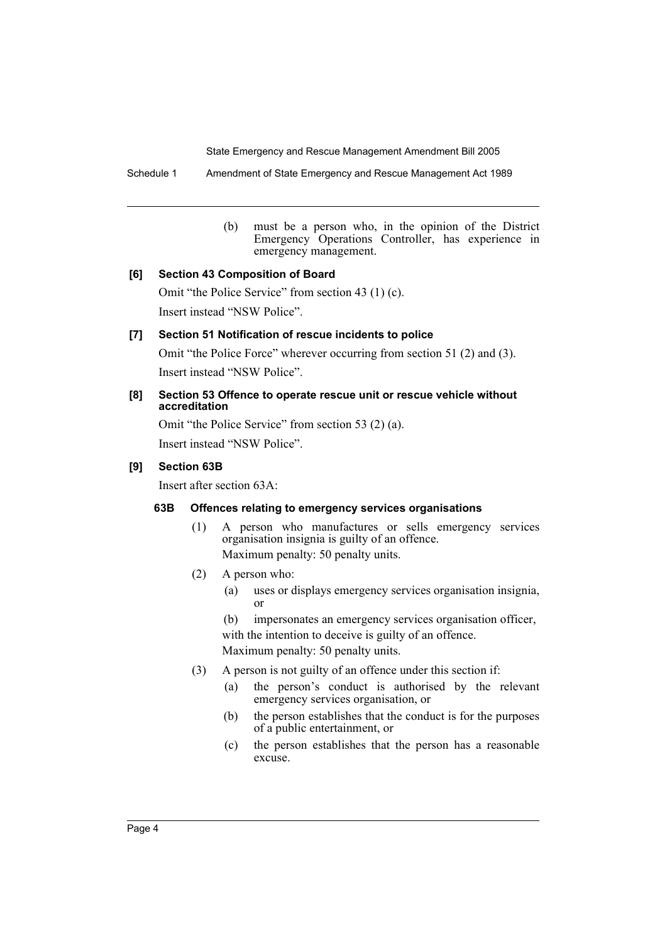State Emergency and Rescue Management Amendment Bill 2005

Schedule 1 Amendment of State Emergency and Rescue Management Act 1989

(b) must be a person who, in the opinion of the District Emergency Operations Controller, has experience in emergency management.

#### **[6] Section 43 Composition of Board**

Omit "the Police Service" from section 43 (1) (c). Insert instead "NSW Police".

#### **[7] Section 51 Notification of rescue incidents to police**

Omit "the Police Force" wherever occurring from section 51 (2) and (3). Insert instead "NSW Police".

#### **[8] Section 53 Offence to operate rescue unit or rescue vehicle without accreditation**

Omit "the Police Service" from section 53 (2) (a). Insert instead "NSW Police".

#### **[9] Section 63B**

Insert after section 63A:

#### **63B Offences relating to emergency services organisations**

- (1) A person who manufactures or sells emergency services organisation insignia is guilty of an offence. Maximum penalty: 50 penalty units.
- (2) A person who:
	- (a) uses or displays emergency services organisation insignia, or
	- (b) impersonates an emergency services organisation officer, with the intention to deceive is guilty of an offence. Maximum penalty: 50 penalty units.
- (3) A person is not guilty of an offence under this section if:
	- (a) the person's conduct is authorised by the relevant emergency services organisation, or
	- (b) the person establishes that the conduct is for the purposes of a public entertainment, or
	- (c) the person establishes that the person has a reasonable excuse.